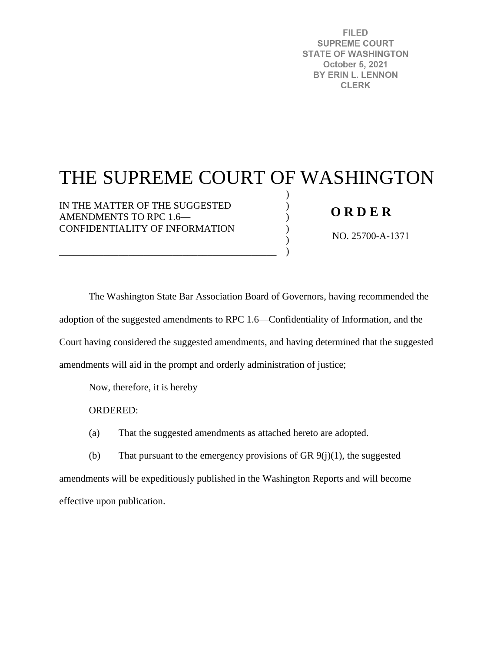**FILED SUPREME COURT STATE OF WASHINGTON** October 5, 2021 BY ERIN L. LENNON **CLERK** 

## THE SUPREME COURT OF WASHINGTON

) ) ) ) ) )

IN THE MATTER OF THE SUGGESTED AMENDMENTS TO RPC 1.6— CONFIDENTIALITY OF INFORMATION

\_\_\_\_\_\_\_\_\_\_\_\_\_\_\_\_\_\_\_\_\_\_\_\_\_\_\_\_\_\_\_\_\_\_\_\_\_\_\_\_\_\_\_\_

## **O R D E R**

NO. 25700-A-1371

The Washington State Bar Association Board of Governors, having recommended the adoption of the suggested amendments to RPC 1.6—Confidentiality of Information, and the Court having considered the suggested amendments, and having determined that the suggested amendments will aid in the prompt and orderly administration of justice;

Now, therefore, it is hereby

ORDERED:

(a) That the suggested amendments as attached hereto are adopted.

(b) That pursuant to the emergency provisions of GR  $9(j)(1)$ , the suggested amendments will be expeditiously published in the Washington Reports and will become effective upon publication.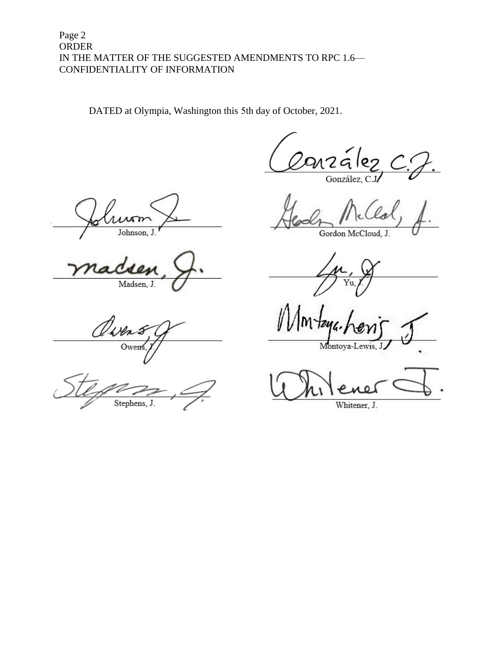## Page 2 **ORDER** IN THE MATTER OF THE SUGGESTED AMENDMENTS TO RPC 1.6-CONFIDENTIALITY OF INFORMATION

DATED at Olympia, Washington this 5th day of October, 2021.

nzález González, C.J

Johnson.

Madsen, J.

O<sub>we</sub>

Stephens, J.

Gordon McCloud, J.

Υu.

Montoya-Lewis,

Whitener, J.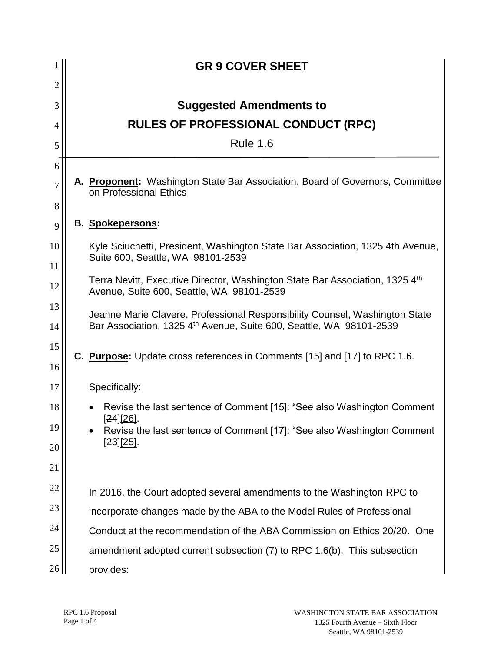|                    |                                                                                | <b>GR 9 COVER SHEET</b>                                                                                                                                        |
|--------------------|--------------------------------------------------------------------------------|----------------------------------------------------------------------------------------------------------------------------------------------------------------|
| $\overline{c}$     |                                                                                |                                                                                                                                                                |
| 3                  |                                                                                | <b>Suggested Amendments to</b>                                                                                                                                 |
| 4                  |                                                                                | <b>RULES OF PROFESSIONAL CONDUCT (RPC)</b>                                                                                                                     |
| 5                  |                                                                                | <b>Rule 1.6</b>                                                                                                                                                |
| 6                  |                                                                                |                                                                                                                                                                |
| 7<br>8             |                                                                                | A. Proponent: Washington State Bar Association, Board of Governors, Committee<br>on Professional Ethics                                                        |
| 9                  |                                                                                | <b>B.</b> Spokepersons:                                                                                                                                        |
| 10                 | Kyle Sciuchetti, President, Washington State Bar Association, 1325 4th Avenue, |                                                                                                                                                                |
| 11                 | Suite 600, Seattle, WA 98101-2539                                              |                                                                                                                                                                |
| 12                 |                                                                                | Terra Nevitt, Executive Director, Washington State Bar Association, 1325 4th<br>Avenue, Suite 600, Seattle, WA 98101-2539                                      |
| 13<br>14           |                                                                                | Jeanne Marie Clavere, Professional Responsibility Counsel, Washington State<br>Bar Association, 1325 4 <sup>th</sup> Avenue, Suite 600, Seattle, WA 98101-2539 |
| 15<br>16           |                                                                                | <b>C. Purpose:</b> Update cross references in Comments [15] and [17] to RPC 1.6.                                                                               |
| 17                 |                                                                                | Specifically:                                                                                                                                                  |
| 18                 | [ <del>24</del> ][ <u>26]</u> .                                                | Revise the last sentence of Comment [15]: "See also Washington Comment                                                                                         |
| 19                 |                                                                                | Revise the last sentence of Comment [17]: "See also Washington Comment                                                                                         |
| $[23][25]$ .<br>20 |                                                                                |                                                                                                                                                                |
| 21                 |                                                                                |                                                                                                                                                                |
| 22                 |                                                                                | In 2016, the Court adopted several amendments to the Washington RPC to                                                                                         |
| 23                 |                                                                                | incorporate changes made by the ABA to the Model Rules of Professional                                                                                         |
| 24                 |                                                                                | Conduct at the recommendation of the ABA Commission on Ethics 20/20. One                                                                                       |
| 25                 |                                                                                | amendment adopted current subsection (7) to RPC 1.6(b). This subsection                                                                                        |
| 26                 |                                                                                | provides:                                                                                                                                                      |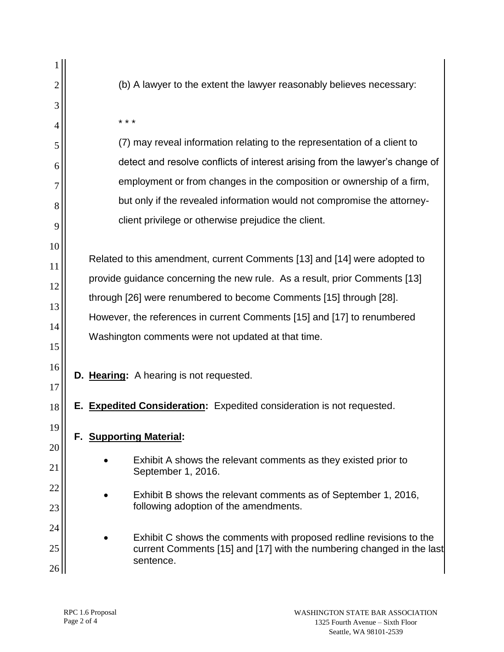| $\overline{2}$ | (b) A lawyer to the extent the lawyer reasonably believes necessary:                 |
|----------------|--------------------------------------------------------------------------------------|
| 3              |                                                                                      |
| 4              | * * *                                                                                |
| 5              | (7) may reveal information relating to the representation of a client to             |
| 6              | detect and resolve conflicts of interest arising from the lawyer's change of         |
| 7              | employment or from changes in the composition or ownership of a firm,                |
| 8              | but only if the revealed information would not compromise the attorney-              |
| 9              | client privilege or otherwise prejudice the client.                                  |
| 10             |                                                                                      |
| 11             | Related to this amendment, current Comments [13] and [14] were adopted to            |
| 12             | provide guidance concerning the new rule. As a result, prior Comments [13]           |
| 13             | through [26] were renumbered to become Comments [15] through [28].                   |
| 14             | However, the references in current Comments [15] and [17] to renumbered              |
| 15             | Washington comments were not updated at that time.                                   |
| 16<br>17       | D. Hearing: A hearing is not requested.                                              |
| 18             | E. Expedited Consideration: Expedited consideration is not requested.                |
| 19<br>20       | F. Supporting Material:                                                              |
| 21             | Exhibit A shows the relevant comments as they existed prior to<br>September 1, 2016. |
| 22             | Exhibit B shows the relevant comments as of September 1, 2016,                       |
| 23             | following adoption of the amendments.                                                |
| 24             | Exhibit C shows the comments with proposed redline revisions to the                  |
| 25             | current Comments [15] and [17] with the numbering changed in the last<br>sentence.   |
| 26             |                                                                                      |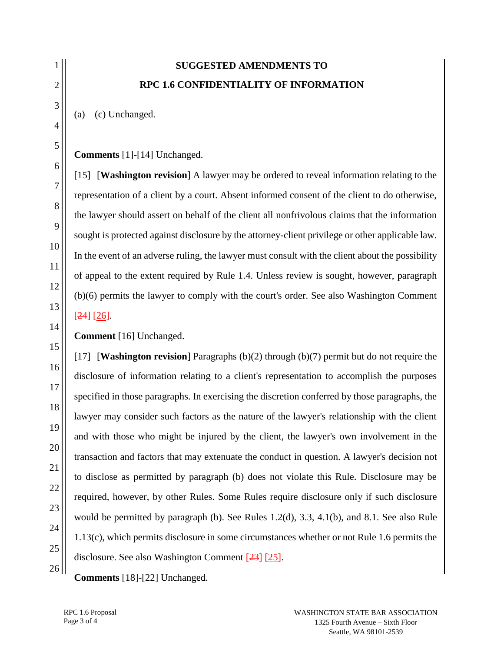## **SUGGESTED AMENDMENTS TO RPC 1.6 CONFIDENTIALITY OF INFORMATION**

 $(a) - (c)$  Unchanged.

[15] [**Washington revision**] A lawyer may be ordered to reveal information relating to the representation of a client by a court. Absent informed consent of the client to do otherwise, the lawyer should assert on behalf of the client all nonfrivolous claims that the information sought is protected against disclosure by the attorney-client privilege or other applicable law. In the event of an adverse ruling, the lawyer must consult with the client about the possibility of appeal to the extent required by Rule 1.4. Unless review is sought, however, paragraph (b)(6) permits the lawyer to comply with the court's order. See also Washington Comment [24] [26].

**Comment** [16] Unchanged.

[17] [**Washington revision**] Paragraphs (b)(2) through (b)(7) permit but do not require the disclosure of information relating to a client's representation to accomplish the purposes specified in those paragraphs. In exercising the discretion conferred by those paragraphs, the lawyer may consider such factors as the nature of the lawyer's relationship with the client and with those who might be injured by the client, the lawyer's own involvement in the transaction and factors that may extenuate the conduct in question. A lawyer's decision not to disclose as permitted by paragraph (b) does not violate this Rule. Disclosure may be required, however, by other Rules. Some Rules require disclosure only if such disclosure would be permitted by paragraph (b). See Rules 1.2(d), 3.3, 4.1(b), and 8.1. See also Rule 1.13(c), which permits disclosure in some circumstances whether or not Rule 1.6 permits the disclosure. See also Washington Comment [23] [25].

**Comments** [18]-[22] Unchanged.

**Comments** [1]-[14] Unchanged.